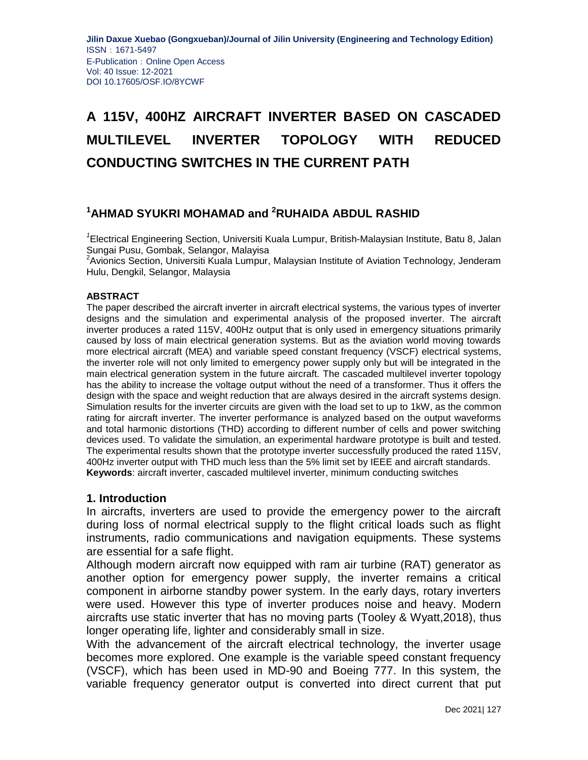# **A 115V, 400HZ AIRCRAFT INVERTER BASED ON CASCADED MULTILEVEL INVERTER TOPOLOGY WITH REDUCED CONDUCTING SWITCHES IN THE CURRENT PATH**

# **<sup>1</sup>AHMAD SYUKRI MOHAMAD and <sup>2</sup>RUHAIDA ABDUL RASHID**

*1* Electrical Engineering Section, Universiti Kuala Lumpur, British-Malaysian Institute, Batu 8, Jalan Sungai Pusu, Gombak, Selangor, Malayisa

 $2$ Avionics Section, Universiti Kuala Lumpur, Malaysian Institute of Aviation Technology, Jenderam Hulu, Dengkil, Selangor, Malaysia

#### **ABSTRACT**

The paper described the aircraft inverter in aircraft electrical systems, the various types of inverter designs and the simulation and experimental analysis of the proposed inverter. The aircraft inverter produces a rated 115V, 400Hz output that is only used in emergency situations primarily caused by loss of main electrical generation systems. But as the aviation world moving towards more electrical aircraft (MEA) and variable speed constant frequency (VSCF) electrical systems, the inverter role will not only limited to emergency power supply only but will be integrated in the main electrical generation system in the future aircraft. The cascaded multilevel inverter topology has the ability to increase the voltage output without the need of a transformer. Thus it offers the design with the space and weight reduction that are always desired in the aircraft systems design. Simulation results for the inverter circuits are given with the load set to up to 1kW, as the common rating for aircraft inverter. The inverter performance is analyzed based on the output waveforms and total harmonic distortions (THD) according to different number of cells and power switching devices used. To validate the simulation, an experimental hardware prototype is built and tested. The experimental results shown that the prototype inverter successfully produced the rated 115V, 400Hz inverter output with THD much less than the 5% limit set by IEEE and aircraft standards. **Keywords**: aircraft inverter, cascaded multilevel inverter, minimum conducting switches

#### **1. Introduction**

In aircrafts, inverters are used to provide the emergency power to the aircraft during loss of normal electrical supply to the flight critical loads such as flight instruments, radio communications and navigation equipments. These systems are essential for a safe flight.

Although modern aircraft now equipped with ram air turbine (RAT) generator as another option for emergency power supply, the inverter remains a critical component in airborne standby power system. In the early days, rotary inverters were used. However this type of inverter produces noise and heavy. Modern aircrafts use static inverter that has no moving parts (Tooley & Wyatt,2018), thus longer operating life, lighter and considerably small in size.

With the advancement of the aircraft electrical technology, the inverter usage becomes more explored. One example is the variable speed constant frequency (VSCF), which has been used in MD-90 and Boeing 777. In this system, the variable frequency generator output is converted into direct current that put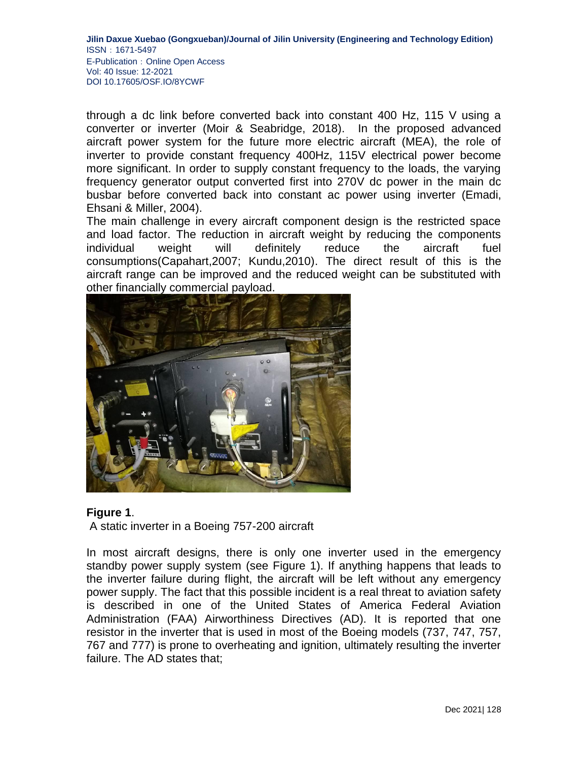through a dc link before converted back into constant 400 Hz, 115 V using a converter or inverter (Moir & Seabridge, 2018). In the proposed advanced aircraft power system for the future more electric aircraft (MEA), the role of inverter to provide constant frequency 400Hz, 115V electrical power become more significant. In order to supply constant frequency to the loads, the varying frequency generator output converted first into 270V dc power in the main dc busbar before converted back into constant ac power using inverter (Emadi, Ehsani & Miller, 2004).

The main challenge in every aircraft component design is the restricted space and load factor. The reduction in aircraft weight by reducing the components individual weight will definitely reduce the aircraft fuel consumptions(Capahart,2007; Kundu,2010). The direct result of this is the aircraft range can be improved and the reduced weight can be substituted with other financially commercial payload.



## **Figure 1**.

A static inverter in a Boeing 757-200 aircraft

In most aircraft designs, there is only one inverter used in the emergency standby power supply system (see Figure 1). If anything happens that leads to the inverter failure during flight, the aircraft will be left without any emergency power supply. The fact that this possible incident is a real threat to aviation safety is described in one of the United States of America Federal Aviation Administration (FAA) Airworthiness Directives (AD). It is reported that one resistor in the inverter that is used in most of the Boeing models (737, 747, 757, 767 and 777) is prone to overheating and ignition, ultimately resulting the inverter failure. The AD states that;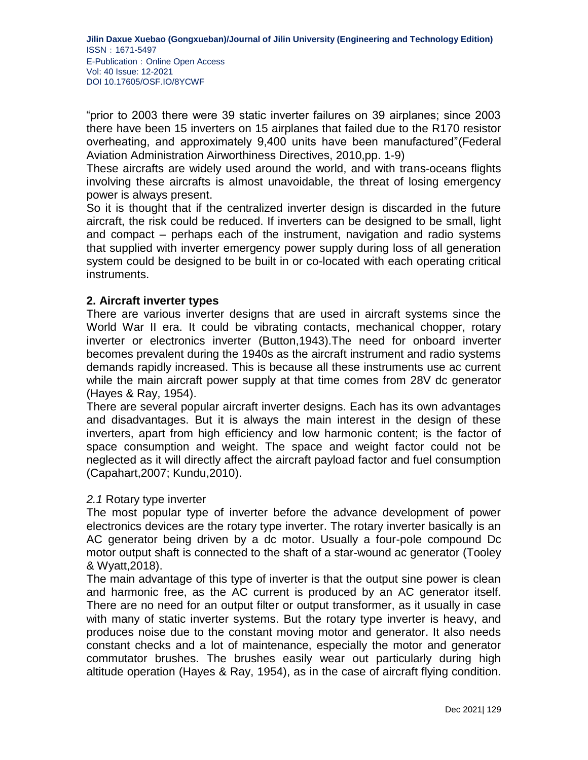"prior to 2003 there were 39 static inverter failures on 39 airplanes; since 2003 there have been 15 inverters on 15 airplanes that failed due to the R170 resistor overheating, and approximately 9,400 units have been manufactured"(Federal Aviation Administration Airworthiness Directives, 2010,pp. 1-9)

These aircrafts are widely used around the world, and with trans-oceans flights involving these aircrafts is almost unavoidable, the threat of losing emergency power is always present.

So it is thought that if the centralized inverter design is discarded in the future aircraft, the risk could be reduced. If inverters can be designed to be small, light and compact – perhaps each of the instrument, navigation and radio systems that supplied with inverter emergency power supply during loss of all generation system could be designed to be built in or co-located with each operating critical instruments.

## **2. Aircraft inverter types**

There are various inverter designs that are used in aircraft systems since the World War II era. It could be vibrating contacts, mechanical chopper, rotary inverter or electronics inverter (Button,1943).The need for onboard inverter becomes prevalent during the 1940s as the aircraft instrument and radio systems demands rapidly increased. This is because all these instruments use ac current while the main aircraft power supply at that time comes from 28V dc generator (Hayes & Ray, 1954).

There are several popular aircraft inverter designs. Each has its own advantages and disadvantages. But it is always the main interest in the design of these inverters, apart from high efficiency and low harmonic content; is the factor of space consumption and weight. The space and weight factor could not be neglected as it will directly affect the aircraft payload factor and fuel consumption (Capahart,2007; Kundu,2010).

## *2.1* Rotary type inverter

The most popular type of inverter before the advance development of power electronics devices are the rotary type inverter. The rotary inverter basically is an AC generator being driven by a dc motor. Usually a four-pole compound Dc motor output shaft is connected to the shaft of a star-wound ac generator (Tooley & Wyatt,2018).

The main advantage of this type of inverter is that the output sine power is clean and harmonic free, as the AC current is produced by an AC generator itself. There are no need for an output filter or output transformer, as it usually in case with many of static inverter systems. But the rotary type inverter is heavy, and produces noise due to the constant moving motor and generator. It also needs constant checks and a lot of maintenance, especially the motor and generator commutator brushes. The brushes easily wear out particularly during high altitude operation (Hayes & Ray, 1954), as in the case of aircraft flying condition.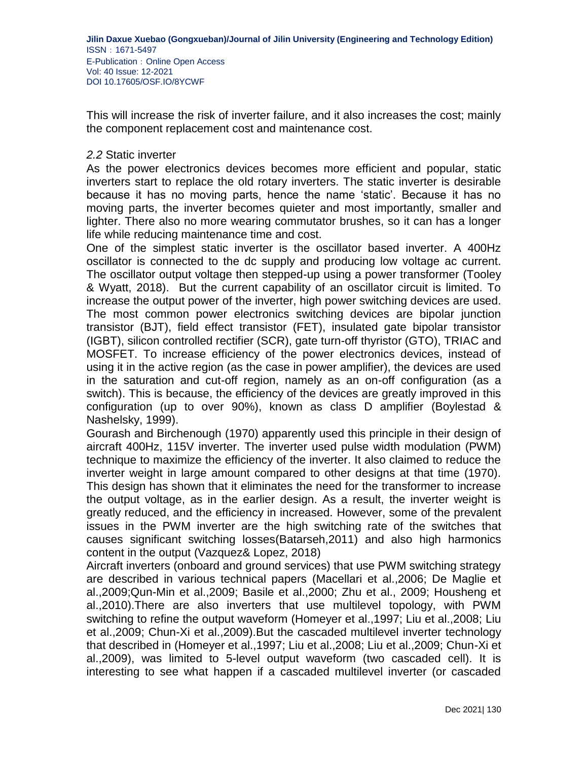This will increase the risk of inverter failure, and it also increases the cost; mainly the component replacement cost and maintenance cost.

#### *2.2* Static inverter

As the power electronics devices becomes more efficient and popular, static inverters start to replace the old rotary inverters. The static inverter is desirable because it has no moving parts, hence the name 'static'. Because it has no moving parts, the inverter becomes quieter and most importantly, smaller and lighter. There also no more wearing commutator brushes, so it can has a longer life while reducing maintenance time and cost.

One of the simplest static inverter is the oscillator based inverter. A 400Hz oscillator is connected to the dc supply and producing low voltage ac current. The oscillator output voltage then stepped-up using a power transformer (Tooley & Wyatt, 2018). But the current capability of an oscillator circuit is limited. To increase the output power of the inverter, high power switching devices are used. The most common power electronics switching devices are bipolar junction transistor (BJT), field effect transistor (FET), insulated gate bipolar transistor (IGBT), silicon controlled rectifier (SCR), gate turn-off thyristor (GTO), TRIAC and MOSFET. To increase efficiency of the power electronics devices, instead of using it in the active region (as the case in power amplifier), the devices are used in the saturation and cut-off region, namely as an on-off configuration (as a switch). This is because, the efficiency of the devices are greatly improved in this configuration (up to over 90%), known as class D amplifier (Boylestad & Nashelsky, 1999).

Gourash and Birchenough (1970) apparently used this principle in their design of aircraft 400Hz, 115V inverter. The inverter used pulse width modulation (PWM) technique to maximize the efficiency of the inverter. It also claimed to reduce the inverter weight in large amount compared to other designs at that time (1970). This design has shown that it eliminates the need for the transformer to increase the output voltage, as in the earlier design. As a result, the inverter weight is greatly reduced, and the efficiency in increased. However, some of the prevalent issues in the PWM inverter are the high switching rate of the switches that causes significant switching losses(Batarseh,2011) and also high harmonics content in the output (Vazquez& Lopez, 2018)

Aircraft inverters (onboard and ground services) that use PWM switching strategy are described in various technical papers (Macellari et al.,2006; De Maglie et al.,2009;Qun-Min et al.,2009; Basile et al.,2000; Zhu et al., 2009; Housheng et al.,2010).There are also inverters that use multilevel topology, with PWM switching to refine the output waveform (Homeyer et al.,1997; Liu et al.,2008; Liu et al.,2009; Chun-Xi et al.,2009).But the cascaded multilevel inverter technology that described in (Homeyer et al.,1997; Liu et al.,2008; Liu et al.,2009; Chun-Xi et al.,2009), was limited to 5-level output waveform (two cascaded cell). It is interesting to see what happen if a cascaded multilevel inverter (or cascaded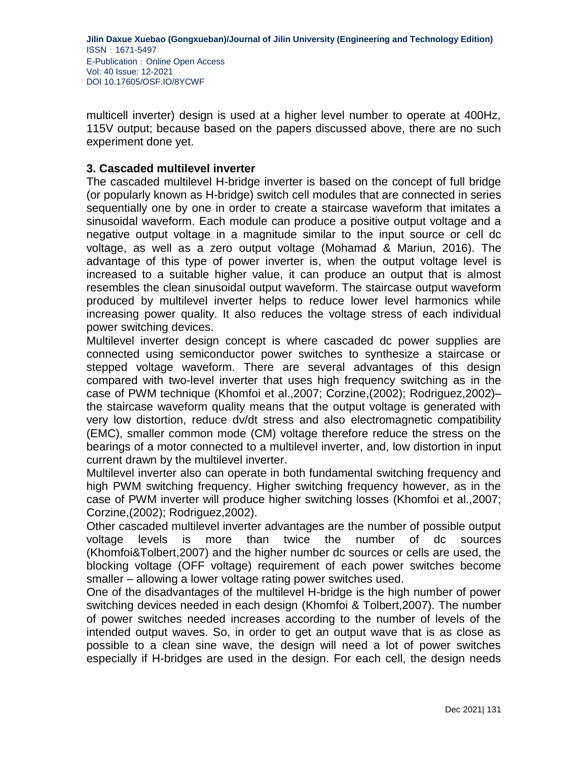multicell inverter) design is used at a higher level number to operate at 400Hz, 115V output; because based on the papers discussed above, there are no such experiment done yet.

## **3. Cascaded multilevel inverter**

The cascaded multilevel H-bridge inverter is based on the concept of full bridge (or popularly known as H-bridge) switch cell modules that are connected in series sequentially one by one in order to create a staircase waveform that imitates a sinusoidal waveform. Each module can produce a positive output voltage and a negative output voltage in a magnitude similar to the input source or cell dc voltage, as well as a zero output voltage (Mohamad & Mariun, 2016). The advantage of this type of power inverter is, when the output voltage level is increased to a suitable higher value, it can produce an output that is almost resembles the clean sinusoidal output waveform. The staircase output waveform produced by multilevel inverter helps to reduce lower level harmonics while increasing power quality. It also reduces the voltage stress of each individual power switching devices.

Multilevel inverter design concept is where cascaded dc power supplies are connected using semiconductor power switches to synthesize a staircase or stepped voltage waveform. There are several advantages of this design compared with two-level inverter that uses high frequency switching as in the case of PWM technique (Khomfoi et al.,2007; Corzine,(2002); Rodriguez,2002)– the staircase waveform quality means that the output voltage is generated with very low distortion, reduce dv/dt stress and also electromagnetic compatibility (EMC), smaller common mode (CM) voltage therefore reduce the stress on the bearings of a motor connected to a multilevel inverter, and, low distortion in input current drawn by the multilevel inverter.

Multilevel inverter also can operate in both fundamental switching frequency and high PWM switching frequency. Higher switching frequency however, as in the case of PWM inverter will produce higher switching losses (Khomfoi et al.,2007; Corzine,(2002); Rodriguez,2002).

Other cascaded multilevel inverter advantages are the number of possible output voltage levels is more than twice the number of dc sources (Khomfoi&Tolbert,2007) and the higher number dc sources or cells are used, the blocking voltage (OFF voltage) requirement of each power switches become smaller – allowing a lower voltage rating power switches used.

One of the disadvantages of the multilevel H-bridge is the high number of power switching devices needed in each design (Khomfoi & Tolbert,2007). The number of power switches needed increases according to the number of levels of the intended output waves. So, in order to get an output wave that is as close as possible to a clean sine wave, the design will need a lot of power switches especially if H-bridges are used in the design. For each cell, the design needs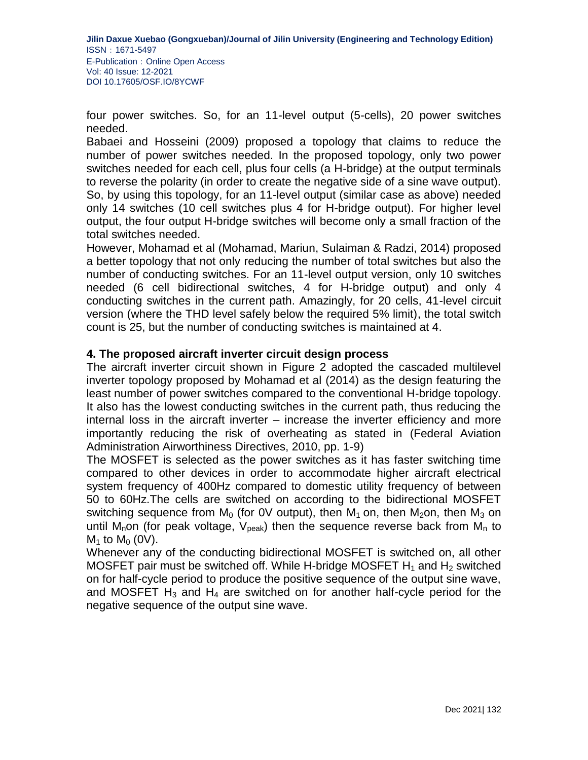four power switches. So, for an 11-level output (5-cells), 20 power switches needed.

Babaei and Hosseini (2009) proposed a topology that claims to reduce the number of power switches needed. In the proposed topology, only two power switches needed for each cell, plus four cells (a H-bridge) at the output terminals to reverse the polarity (in order to create the negative side of a sine wave output). So, by using this topology, for an 11-level output (similar case as above) needed only 14 switches (10 cell switches plus 4 for H-bridge output). For higher level output, the four output H-bridge switches will become only a small fraction of the total switches needed.

However, Mohamad et al (Mohamad, Mariun, Sulaiman & Radzi, 2014) proposed a better topology that not only reducing the number of total switches but also the number of conducting switches. For an 11-level output version, only 10 switches needed (6 cell bidirectional switches, 4 for H-bridge output) and only 4 conducting switches in the current path. Amazingly, for 20 cells, 41-level circuit version (where the THD level safely below the required 5% limit), the total switch count is 25, but the number of conducting switches is maintained at 4.

## **4. The proposed aircraft inverter circuit design process**

The aircraft inverter circuit shown in Figure 2 adopted the cascaded multilevel inverter topology proposed by Mohamad et al (2014) as the design featuring the least number of power switches compared to the conventional H-bridge topology. It also has the lowest conducting switches in the current path, thus reducing the internal loss in the aircraft inverter – increase the inverter efficiency and more importantly reducing the risk of overheating as stated in (Federal Aviation Administration Airworthiness Directives, 2010, pp. 1-9)

The MOSFET is selected as the power switches as it has faster switching time compared to other devices in order to accommodate higher aircraft electrical system frequency of 400Hz compared to domestic utility frequency of between 50 to 60Hz.The cells are switched on according to the bidirectional MOSFET switching sequence from  $M_0$  (for OV output), then  $M_1$  on, then  $M_2$ on, then  $M_3$  on until M<sub>n</sub>on (for peak voltage,  $V_{peak}$ ) then the sequence reverse back from M<sub>n</sub> to  $M_1$  to  $M_0$  (0V).

Whenever any of the conducting bidirectional MOSFET is switched on, all other MOSFET pair must be switched off. While H-bridge MOSFET  $H_1$  and  $H_2$  switched on for half-cycle period to produce the positive sequence of the output sine wave, and MOSFET  $H_3$  and  $H_4$  are switched on for another half-cycle period for the negative sequence of the output sine wave.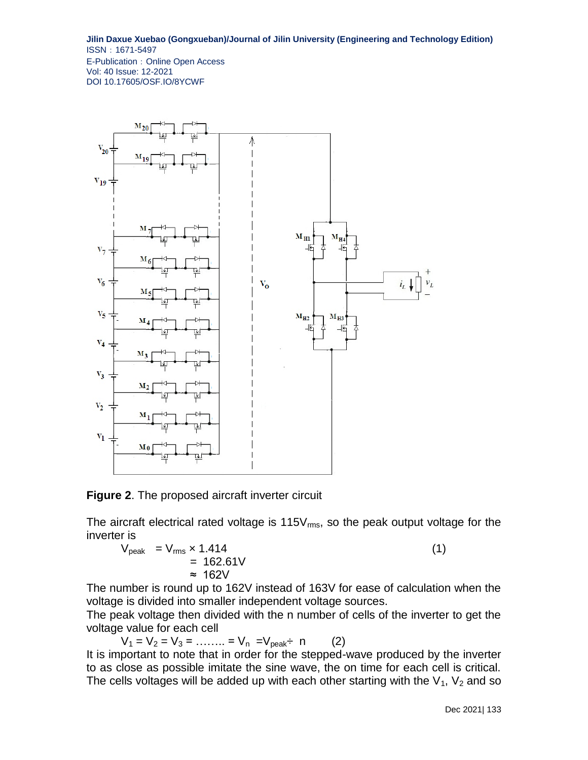

**Figure 2**. The proposed aircraft inverter circuit

The aircraft electrical rated voltage is  $115V_{rms}$ , so the peak output voltage for the inverter is

 $V_{\text{peak}} = V_{\text{rms}} \times 1.414$  (1)  $= 162.61V$ ≈ 162V

The number is round up to 162V instead of 163V for ease of calculation when the voltage is divided into smaller independent voltage sources.

The peak voltage then divided with the n number of cells of the inverter to get the voltage value for each cell

 $V_1 = V_2 = V_3 = \dots = V_n = V_{peak}$  in (2)

It is important to note that in order for the stepped-wave produced by the inverter to as close as possible imitate the sine wave, the on time for each cell is critical. The cells voltages will be added up with each other starting with the  $V_1$ ,  $V_2$  and so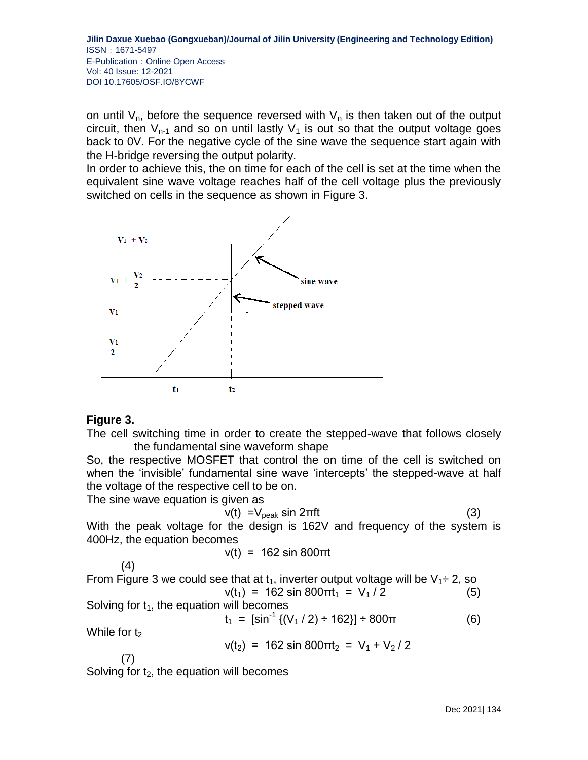on until  $V_{n}$ , before the sequence reversed with  $V_{n}$  is then taken out of the output circuit, then  $V_{n-1}$  and so on until lastly  $V_1$  is out so that the output voltage goes back to 0V. For the negative cycle of the sine wave the sequence start again with the H-bridge reversing the output polarity.

In order to achieve this, the on time for each of the cell is set at the time when the equivalent sine wave voltage reaches half of the cell voltage plus the previously switched on cells in the sequence as shown in Figure 3.



## **Figure 3.**

The cell switching time in order to create the stepped-wave that follows closely the fundamental sine waveform shape

So, the respective MOSFET that control the on time of the cell is switched on when the 'invisible' fundamental sine wave 'intercepts' the stepped-wave at half the voltage of the respective cell to be on.

The sine wave equation is given as

$$
v(t) = V_{\text{peak}} \sin 2\pi f t \tag{3}
$$

With the peak voltage for the design is 162V and frequency of the system is 400Hz, the equation becomes

$$
v(t) = 162 \sin 800 \pi t
$$

(4)   
\nFrom Figure 3 we could see that at 
$$
t_1
$$
, inverter output voltage will be  $V_1 \div 2$ , so  $v(t_1) = 162 \sin 800 \pi t_1 = V_1 / 2$  (5)   
\nSolving for  $t_1$ , the equation will becomes

$$
t_1 = [\sin^{-1}\{(V_1/2) \div 162\}] \div 800\pi
$$
 (6)

While for  $t_2$ 

$$
v(t_2) = 162 \sin 800 \pi t_2 = V_1 + V_2 / 2
$$

(7)

Solving for  $t_2$ , the equation will becomes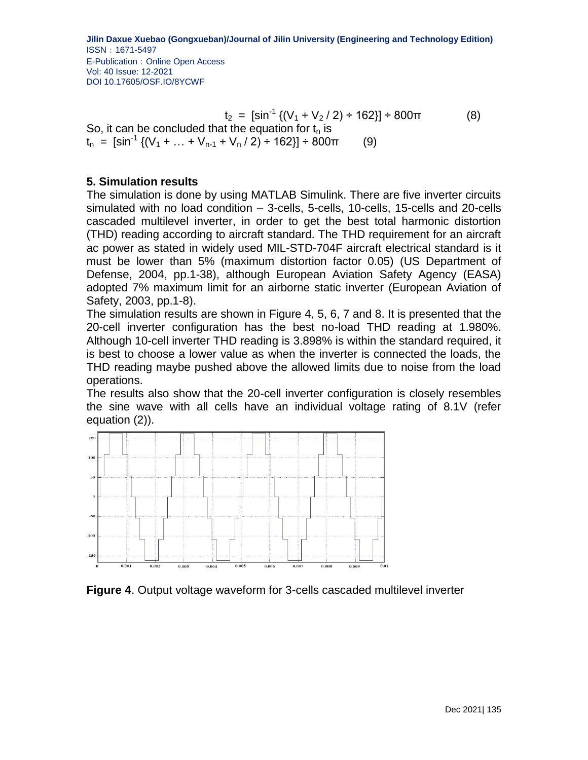$t_2 = [\sin^{-1} \{ (V_1 + V_2 / 2) \div 162 \}] \div 800 \pi$  (8) So, it can be concluded that the equation for  $t_n$  is  $t_n = [\sin^{-1} \{ (V_1 + ... + V_{n-1} + V_n / 2) \div 162 \}] \div 800 \pi$  (9)

## **5. Simulation results**

The simulation is done by using MATLAB Simulink. There are five inverter circuits simulated with no load condition – 3-cells, 5-cells, 10-cells, 15-cells and 20-cells cascaded multilevel inverter, in order to get the best total harmonic distortion (THD) reading according to aircraft standard. The THD requirement for an aircraft ac power as stated in widely used MIL-STD-704F aircraft electrical standard is it must be lower than 5% (maximum distortion factor 0.05) (US Department of Defense, 2004, pp.1-38), although European Aviation Safety Agency (EASA) adopted 7% maximum limit for an airborne static inverter (European Aviation of Safety, 2003, pp.1-8).

The simulation results are shown in Figure 4, 5, 6, 7 and 8. It is presented that the 20-cell inverter configuration has the best no-load THD reading at 1.980%. Although 10-cell inverter THD reading is 3.898% is within the standard required, it is best to choose a lower value as when the inverter is connected the loads, the THD reading maybe pushed above the allowed limits due to noise from the load operations.

The results also show that the 20-cell inverter configuration is closely resembles the sine wave with all cells have an individual voltage rating of 8.1V (refer equation (2)).



**Figure 4**. Output voltage waveform for 3-cells cascaded multilevel inverter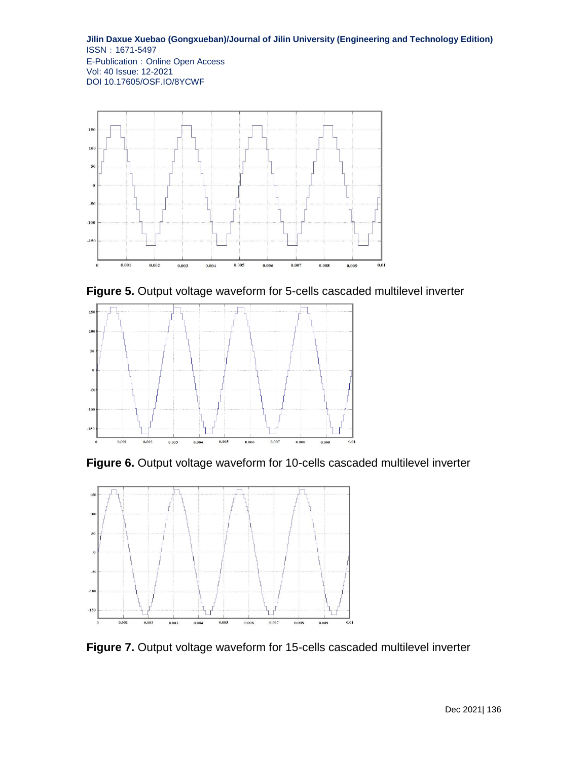

**Figure 5.** Output voltage waveform for 5-cells cascaded multilevel inverter



**Figure 6.** Output voltage waveform for 10-cells cascaded multilevel inverter



**Figure 7.** Output voltage waveform for 15-cells cascaded multilevel inverter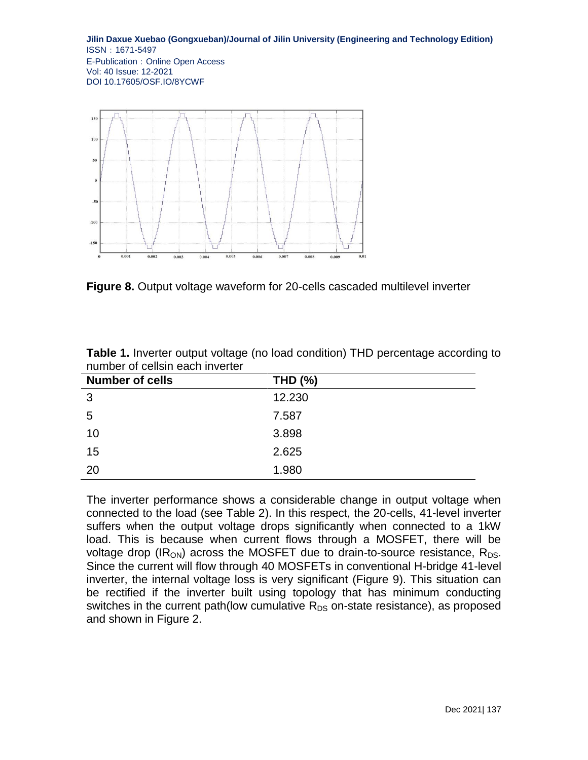

**Figure 8.** Output voltage waveform for 20-cells cascaded multilevel inverter

| <b>Number of cells</b> | <b>THD (%)</b> |
|------------------------|----------------|
| 3                      | 12.230         |
| 5                      | 7.587          |
| 10                     | 3.898          |
| 15                     | 2.625          |
| 20                     | 1.980          |

**Table 1.** Inverter output voltage (no load condition) THD percentage according to number of cellsin each inverter

The inverter performance shows a considerable change in output voltage when connected to the load (see Table 2). In this respect, the 20-cells, 41-level inverter suffers when the output voltage drops significantly when connected to a 1kW load. This is because when current flows through a MOSFET, there will be voltage drop (IR<sub>ON</sub>) across the MOSFET due to drain-to-source resistance, R<sub>DS</sub>. Since the current will flow through 40 MOSFETs in conventional H-bridge 41-level inverter, the internal voltage loss is very significant (Figure 9). This situation can be rectified if the inverter built using topology that has minimum conducting switches in the current path(low cumulative  $R_{DS}$  on-state resistance), as proposed and shown in Figure 2.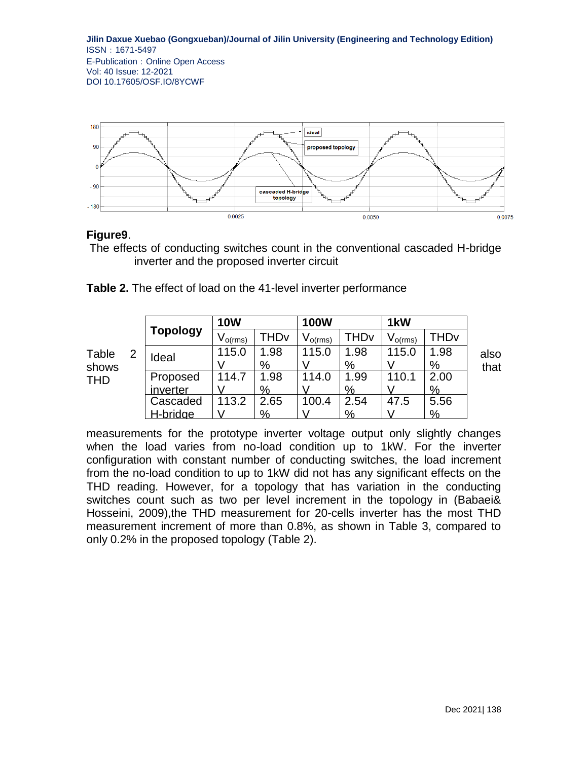

## **Figure9**.

The effects of conducting switches count in the conventional cascaded H-bridge inverter and the proposed inverter circuit

|                              |   | <b>Topology</b> | <b>10W</b>   |      | <b>100W</b>      |               | 1 <sub>k</sub> W |               |      |
|------------------------------|---|-----------------|--------------|------|------------------|---------------|------------------|---------------|------|
|                              |   |                 | $V_{o(rms)}$ | THDv | $\rm V_{o(rms)}$ | THDv          | $V_{o(rms)}$     | THDv          |      |
| Table<br>shows<br><b>THD</b> | 2 | Ideal           | 115.0        | 1.98 | 115.0            | 1.98          | 115.0            | 1.98          | also |
|                              |   |                 |              | %    |                  | $\frac{9}{6}$ |                  | $\frac{9}{6}$ | that |
|                              |   | Proposed        | 14.7         | 1.98 | 114.0            | 1.99          | 110.1            | 2.00          |      |
|                              |   | inverter        |              | %    |                  | %             |                  | %             |      |
|                              |   | Cascaded        | 113.2        | 2.65 | 100.4            | 2.54          | 47.5             | 5.56          |      |
|                              |   | <u>-bridge</u>  |              | %    |                  | %             |                  | %             |      |

**Table 2.** The effect of load on the 41-level inverter performance

measurements for the prototype inverter voltage output only slightly changes when the load varies from no-load condition up to 1kW. For the inverter configuration with constant number of conducting switches, the load increment from the no-load condition to up to 1kW did not has any significant effects on the THD reading. However, for a topology that has variation in the conducting switches count such as two per level increment in the topology in (Babaei& Hosseini, 2009),the THD measurement for 20-cells inverter has the most THD measurement increment of more than 0.8%, as shown in Table 3, compared to only 0.2% in the proposed topology (Table 2).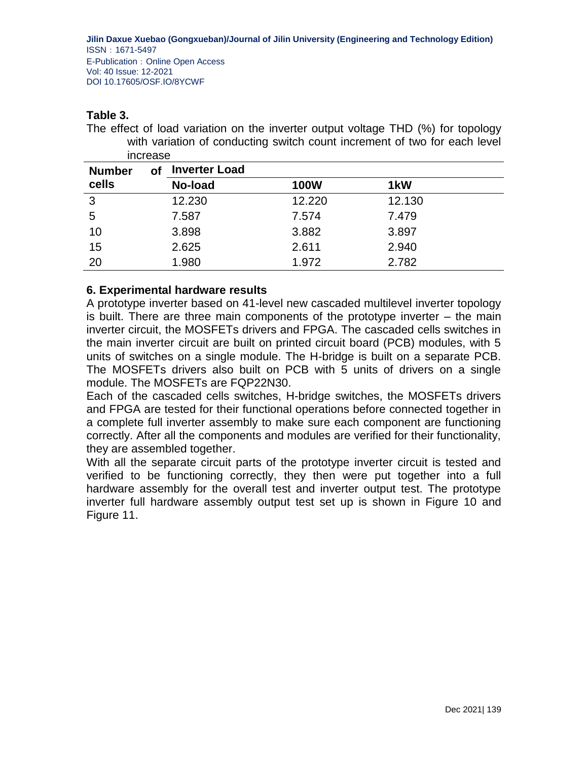## **Table 3.**

The effect of load variation on the inverter output voltage THD (%) for topology with variation of conducting switch count increment of two for each level increase

| <b>Number</b> | оf | <b>Inverter Load</b> |             |                  |
|---------------|----|----------------------|-------------|------------------|
| cells         |    | No-load              | <b>100W</b> | 1 <sub>k</sub> W |
| 3             |    | 12.230               | 12.220      | 12.130           |
| 5             |    | 7.587                | 7.574       | 7.479            |
| 10            |    | 3.898                | 3.882       | 3.897            |
| 15            |    | 2.625                | 2.611       | 2.940            |
| 20            |    | 1.980                | 1.972       | 2.782            |

## **6. Experimental hardware results**

A prototype inverter based on 41-level new cascaded multilevel inverter topology is built. There are three main components of the prototype inverter – the main inverter circuit, the MOSFETs drivers and FPGA. The cascaded cells switches in the main inverter circuit are built on printed circuit board (PCB) modules, with 5 units of switches on a single module. The H-bridge is built on a separate PCB. The MOSFETs drivers also built on PCB with 5 units of drivers on a single module. The MOSFETs are FQP22N30.

Each of the cascaded cells switches, H-bridge switches, the MOSFETs drivers and FPGA are tested for their functional operations before connected together in a complete full inverter assembly to make sure each component are functioning correctly. After all the components and modules are verified for their functionality, they are assembled together.

With all the separate circuit parts of the prototype inverter circuit is tested and verified to be functioning correctly, they then were put together into a full hardware assembly for the overall test and inverter output test. The prototype inverter full hardware assembly output test set up is shown in Figure 10 and Figure 11.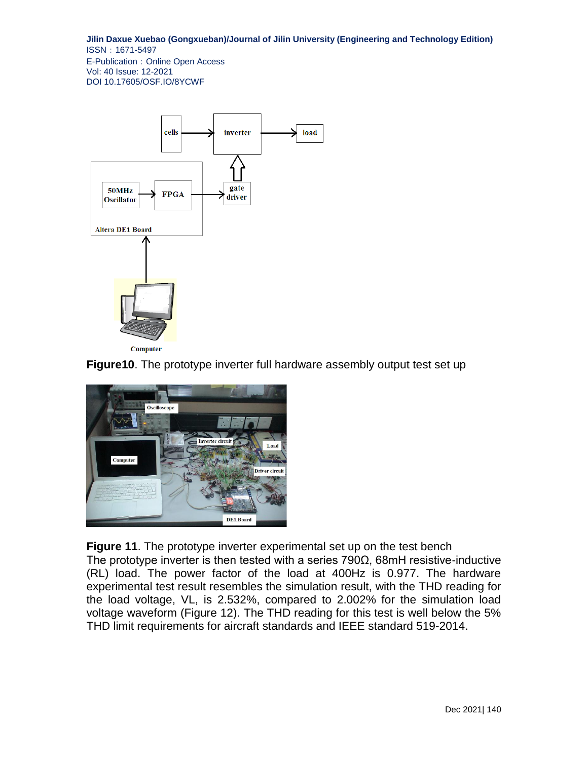

Computer

**Figure10**. The prototype inverter full hardware assembly output test set up



**Figure 11**. The prototype inverter experimental set up on the test bench The prototype inverter is then tested with a series 790Ω, 68mH resistive-inductive (RL) load. The power factor of the load at 400Hz is 0.977. The hardware experimental test result resembles the simulation result, with the THD reading for the load voltage, VL, is 2.532%, compared to 2.002% for the simulation load voltage waveform (Figure 12). The THD reading for this test is well below the 5% THD limit requirements for aircraft standards and IEEE standard 519-2014.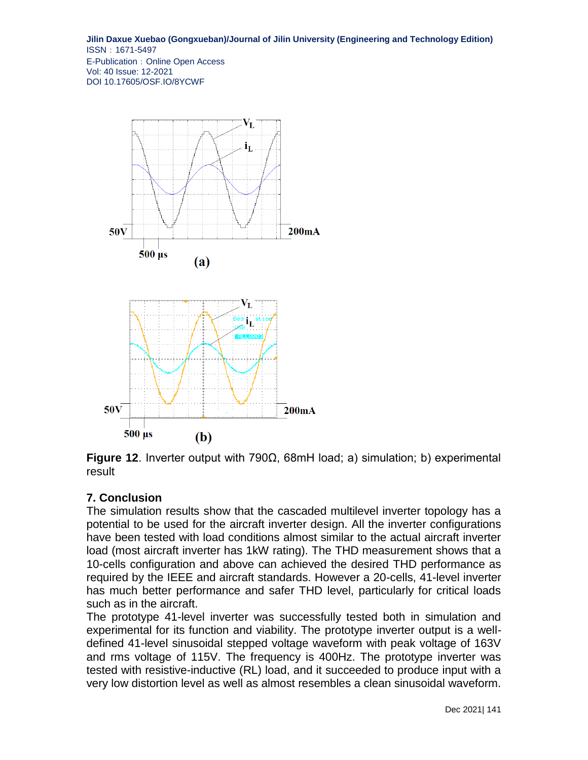

**Figure 12**. Inverter output with 790Ω, 68mH load; a) simulation; b) experimental result

# **7. Conclusion**

The simulation results show that the cascaded multilevel inverter topology has a potential to be used for the aircraft inverter design. All the inverter configurations have been tested with load conditions almost similar to the actual aircraft inverter load (most aircraft inverter has 1kW rating). The THD measurement shows that a 10-cells configuration and above can achieved the desired THD performance as required by the IEEE and aircraft standards. However a 20-cells, 41-level inverter has much better performance and safer THD level, particularly for critical loads such as in the aircraft.

The prototype 41-level inverter was successfully tested both in simulation and experimental for its function and viability. The prototype inverter output is a welldefined 41-level sinusoidal stepped voltage waveform with peak voltage of 163V and rms voltage of 115V. The frequency is 400Hz. The prototype inverter was tested with resistive-inductive (RL) load, and it succeeded to produce input with a very low distortion level as well as almost resembles a clean sinusoidal waveform.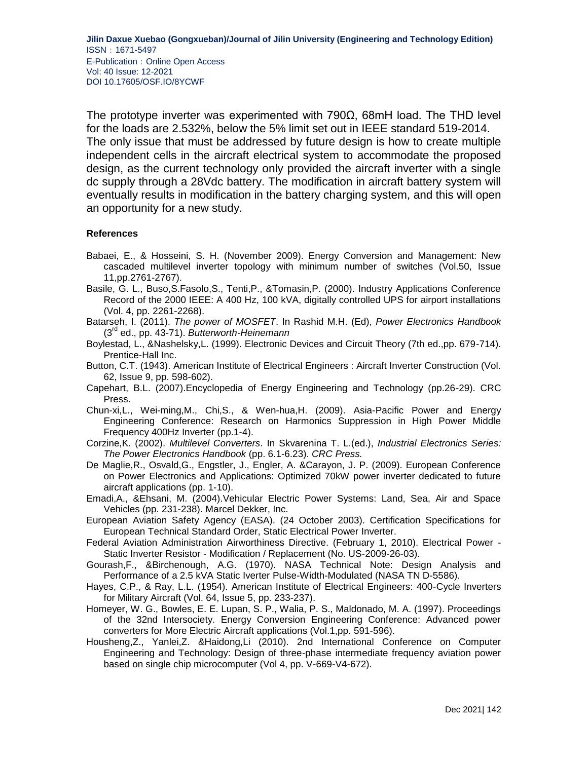The prototype inverter was experimented with 790Ω, 68mH load. The THD level for the loads are 2.532%, below the 5% limit set out in IEEE standard 519-2014. The only issue that must be addressed by future design is how to create multiple independent cells in the aircraft electrical system to accommodate the proposed design, as the current technology only provided the aircraft inverter with a single dc supply through a 28Vdc battery. The modification in aircraft battery system will eventually results in modification in the battery charging system, and this will open an opportunity for a new study.

#### **References**

- Babaei, E., & Hosseini, S. H. (November 2009). Energy Conversion and Management: New cascaded multilevel inverter topology with minimum number of switches (Vol.50, Issue 11,pp.2761-2767).
- Basile, G. L., Buso,S.Fasolo,S., Tenti,P., &Tomasin,P. (2000). Industry Applications Conference Record of the 2000 IEEE: A 400 Hz, 100 kVA, digitally controlled UPS for airport installations (Vol. 4, pp. 2261-2268).
- Batarseh, I. (2011). *The power of MOSFET*. In Rashid M.H. (Ed), *Power Electronics Handbook*  (3rd ed., pp. 43-71). *Butterworth-Heinemann*
- Boylestad, L., &Nashelsky,L. (1999). Electronic Devices and Circuit Theory (7th ed.,pp. 679-714). Prentice-Hall Inc.
- Button, C.T. (1943). American Institute of Electrical Engineers : Aircraft Inverter Construction (Vol. 62, Issue 9, pp. 598-602).
- Capehart, B.L. (2007).Encyclopedia of Energy Engineering and Technology (pp.26-29). CRC Press.
- Chun-xi,L., Wei-ming,M., Chi,S., & Wen-hua,H. (2009). Asia-Pacific Power and Energy Engineering Conference: Research on Harmonics Suppression in High Power Middle Frequency 400Hz Inverter (pp.1-4).
- Corzine,K. (2002). *Multilevel Converters*. In Skvarenina T. L.(ed.), *Industrial Electronics Series: The Power Electronics Handbook* (pp. 6.1-6.23). *CRC Press.*
- De Maglie,R., Osvald,G., Engstler, J., Engler, A. &Carayon, J. P. (2009). European Conference on Power Electronics and Applications: Optimized 70kW power inverter dedicated to future aircraft applications (pp. 1-10).
- Emadi,A., &Ehsani, M. (2004).Vehicular Electric Power Systems: Land, Sea, Air and Space Vehicles (pp. 231-238). Marcel Dekker, Inc.
- European Aviation Safety Agency (EASA). (24 October 2003). Certification Specifications for European Technical Standard Order, Static Electrical Power Inverter.
- Federal Aviation Administration Airworthiness Directive. (February 1, 2010). Electrical Power Static Inverter Resistor - Modification / Replacement (No. US-2009-26-03).
- Gourash,F., &Birchenough, A.G. (1970). NASA Technical Note: Design Analysis and Performance of a 2.5 kVA Static Iverter Pulse-Width-Modulated (NASA TN D-5586).
- Hayes, C.P., & Ray, L.L. (1954). American Institute of Electrical Engineers: 400-Cycle Inverters for Military Aircraft (Vol. 64, Issue 5, pp. 233-237).
- Homeyer, W. G., Bowles, E. E. Lupan, S. P., Walia, P. S., Maldonado, M. A. (1997). Proceedings of the 32nd Intersociety. Energy Conversion Engineering Conference: Advanced power converters for More Electric Aircraft applications (Vol.1,pp. 591-596).
- Housheng,Z., Yanlei,Z. &Haidong,Li (2010). 2nd International Conference on Computer Engineering and Technology: Design of three-phase intermediate frequency aviation power based on single chip microcomputer (Vol 4, pp. V-669-V4-672).